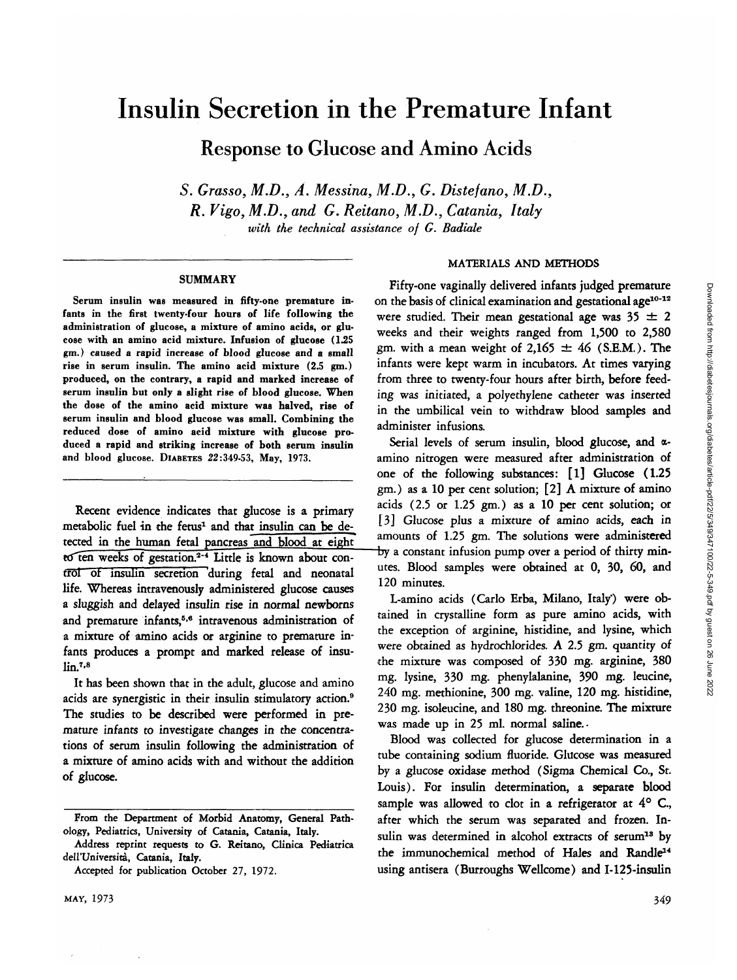# Insulin Secretion in the Premature Infant

Response to Glucose and Amino Acids

*S. Grasso, M.D., A. Messina, M.D., G. Distefano,M.D., R. Vigo, M.D., and G. Reitano, M.D., Catania, Italy with the technical assistance of G. Badiale*

#### **SUMMARY**

**Serum insulin was measured in fifty-one premature infants in the first twenty-four hours of life following the administration of glucose, a mixture of amino acids, or glucose with an amino acid mixture. Infusion of glucose (1.25 gm.) caused a rapid increase of blood glucose and a small rise in serum insulin. The amino acid mixture (2.5 gm.) produced, on the contrary, a rapid and marked increase of serum insulin but only a slight rise of blood glucose. When the dose of the amino acid mixture was halved, rise of serum insulin and blood glucose was small. Combining the reduced dose of amino acid mixture with glucose produced a rapid and striking increase of both serum insulin and blood glucose. DIABETES 22:349-53, May, 1973.**

Recent evidence indicates that glucose is a primary metabolic fuel in the fetus<sup>1</sup> and that insulin can be detected in the human fetal pancreas and blood at eight to ten weeks of gestation.<sup>2-4</sup> Little is known about control of insulin secretion during fetal and neonatal life. Whereas intravenously administered glucose causes a sluggish and delayed insulin rise in normal newborns and premature infants,<sup>5,6</sup> intravenous administration of a mixture of amino acids or arginine to premature infants produces a prompt and marked release of insulin.<sup>7,8</sup>

It has been shown that in the adult, glucose and amino acids are synergistic in their insulin stimulatory action.<sup>9</sup> The studies to be described were performed in premature infants to investigate changes in the concentrations of serum insulin following the administration of a mixture of amino acids with and without the addition of glucose.

#### MATERIALS AND METHODS

Fifty-one vaginally delivered infants judged premature on the basis of clinical examination and gestational age<sup>10-12</sup> were studied. Their mean gestational age was  $35 \pm 2$ weeks and their weights ranged from 1,500 to 2,580 gm. with a mean weight of  $2,165 \pm 46$  (S.E.M.). The infants were kept warm in incubators. At times varying from three to twenty-four hours after birth, before feeding was initiated, a polyethylene catheter was inserted in the umbilical vein to withdraw blood samples and administer infusions.

Serial levels of serum insulin, blood glucose, and  $\alpha$ amino nitrogen were measured after administration of one of the following substances: [1] Glucose (1.25 gm.) as a 10 per cent solution; [2] A mixture of amino acids (2.5 or 1.25 gm.) as a 10 per cent solution; or [3] Glucose plus a mixture of amino acids, each in amounts of 1.25 gm. The solutions were administered by a constant infusion pump over a period of thirty minutes. Blood samples were obtained at 0, 30, 60, and 120 minutes.

L-amino acids (Carlo Erba, Milano, Italy) were obtained in crystalline form as pure amino acids, with the exception of arginine, histidine, and lysine, which were obtained as hydrochlorides. A 2.5 gm. quantity of the mixture was composed of 330 mg. arginine, 380 mg. lysine, 330 mg. phenylalanine, 390 mg. leucine, 240 mg. methionine, 300 mg. valine, 120 mg. histidine, 230 mg. isoleucine, and 180 mg. threonine. The mixture was made up in 25 ml. normal saline.

Blood was collected for glucose determination in a tube containing sodium fluoride. Glucose was measured by a glucose oxidase method (Sigma Chemical Co., St. Louis). For insulin determination, a separate blood sample was allowed to clot in a refrigerator at  $4^{\circ}$  C., after which the serum was separated and frozen. Insulin was determined in alcohol extracts of serum<sup>13</sup> by the immunochemical method of Hales and Randle<sup>14</sup> using antisera (Burroughs Wellcome) and I-125-insulin

**From the Department of Morbid Anatomy, General Pathology, Pediatrics, University of Catania, Catania, Italy.**

**Address reprint requests to G. Reitano, Clinica Pediatrica dell'Universita, Catania, Italy.**

**Accepted for publication October 27, 1972.**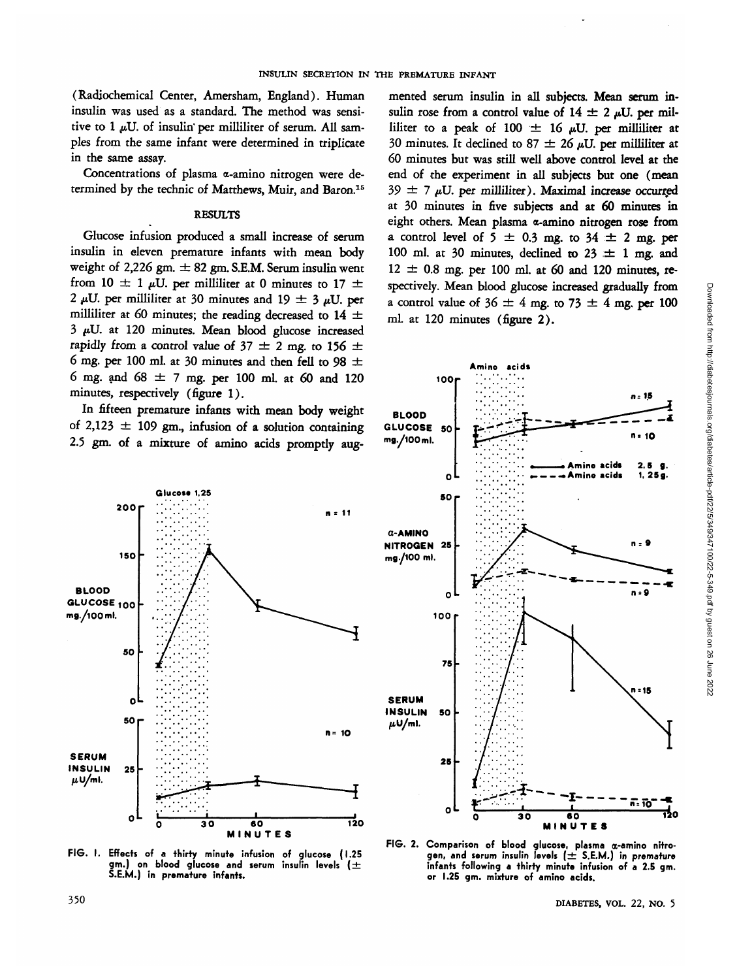(Radiochemical Center, Amersham, England). Human insulin was used as a standard. The method was sensitive to  $1 \mu U$ . of insulin' per milliliter of serum. All samples from the same infant were determined in triplicate in the same assay.

Concentrations of plasma a-amino nitrogen were determined by the technic of Matthews, Muir, and Baron.15

### **RESULTS**

Glucose infusion produced a small increase of serum insulin in eleven premature infants with mean body weight of 2,226 gm.  $\pm$  82 gm. S.E.M. Serum insulin went from 10  $\pm$  1  $\mu$ U. per milliliter at 0 minutes to 17  $\pm$ 2  $\mu$ U. per milliliter at 30 minutes and 19  $\pm$  3  $\mu$ U. per milliliter at 60 minutes; the reading decreased to 14  $\pm$ 3 *fdJ.* at 120 minutes. Mean blood glucose increased rapidly from a control value of  $37 \pm 2$  mg. to 156  $\pm$ 6 mg. per 100 ml. at 30 minutes and then fell to 98  $\pm$ 6 mg. and 68 *± 7* mg. per 100 ml. at 60 and 120 minutes, respectively (figure 1).

In fifteen premature infants with mean body weight of 2,123  $\pm$  109 gm., infusion of a solution containing 2.5 gm. of a mixture of amino acids promptly aug-







**FIG. I. Effects of a thirty minute infusion of glucose (1.25 gm.) on blood glucose and serum insulin levels ( ± S.E.M.) in premature infants. glu**

**FIG. 2. Comparison of blood glucose, plasma a-amino nitrogen, and serum insulin levels [± S.E.M.) in premature infants following a thirty minute infusion of a 2.5 gm. or 1.25 gm. mixture of amino acids.**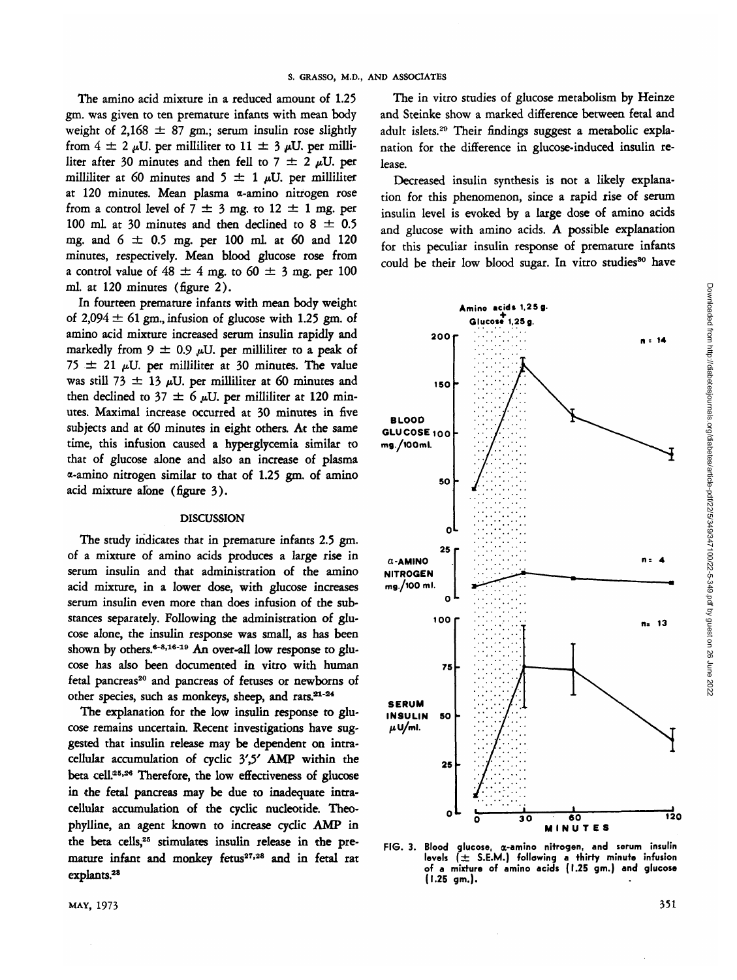The amino acid mixture in a reduced amount of 1.25 gm. was given to ten premature infants with mean body weight of 2,168  $\pm$  87 gm.; serum insulin rose slightly from  $4 \pm 2 \mu U$ , per milliliter to  $11 \pm 3 \mu U$ , per milliliter after 30 minutes and then fell to 7  $\pm$  2  $\mu$ U. per milliliter at 60 minutes and  $5 \pm 1 \mu U$ . per milliliter at 120 minutes. Mean plasma a-amino nitrogen rose from a control level of  $7 \pm 3$  mg. to  $12 \pm 1$  mg. per 100 ml. at 30 minutes and then declined to  $8 \pm 0.5$ mg. and  $6 \pm 0.5$  mg. per 100 ml. at 60 and 120 minutes, respectively. Mean blood glucose rose from a control value of  $48 \pm 4$  mg. to  $60 \pm 3$  mg. per 100 ml. at 120 minutes (figure 2).

In fourteen premature infants with mean body weight of  $2.094 \pm 61$  gm., infusion of glucose with 1.25 gm. of amino acid mixture increased serum insulin rapidly and markedly from 9  $\pm$  0.9  $\mu$ U. per milliliter to a peak of 75  $\pm$  21 µU. per milliliter at 30 minutes. The value was still 73  $\pm$  13 µU. per milliliter at 60 minutes and then declined to 37  $\pm$  6  $\mu$ U. per milliliter at 120 minutes. Maximal increase occurred at 30 minutes in five subjects and at *60* minutes in eight others. At the same time, this infusion caused a hyperglycemia similar to that of glucose alone and also an increase of plasma a-amino nitrogen similar to that of 1.25 gm. of amino acid mixture alone (figure 3).

#### DISCUSSION

The study indicates that in premature infants 2.5 gm. of a mixture of amino acids produces a large rise in serum insulin and that administration of the amino acid mixture, in a lower dose, with glucose increases serum insulin even more than does infusion of the substances separately. Following the administration of glucose alone, the insulin response was small, as has been shown by others.<sup>6-8,16-19</sup> An over-all low response to glu cose has also been documented in vitro with human  $t$ etal pancreas<sup>20</sup> and pancreas of fetuses or newborns of other species, such as monkeys, sheep, and rats. $21-24$ 

The explanation for the low insulin response to glucose remains uncertain. Recent investigations have suggested that insulin release may be dependent on intracellular accumulation of cyclic 3',5' AMP within the beta cell.25- 26 Therefore, the low effectiveness of glucose in the fetal pancreas may be due to inadequate intracellular accumulation of the cyclic nucleotide. Theophylline, an agent known to increase cyclic AMP in the beta cells,25 stimulates insulin release in the premature infant and monkey fetus<sup>27,28</sup> and in fetal rat explants.<sup>28</sup>

Decreased insulin synthesis is not a likely explanation for this phenomenon, since a rapid rise of serum insulin level is evoked by a large dose of amino acids and glucose with amino acids. A possible explanation for this peculiar insulin response of premature infants could be their low blood sugar. In vitro studies<sup>30</sup> have



**FIG. 3. Blood glucose, a-amino nitrogen, and serum insulin levels ( ± S.E.M.) following a thirty minute infusion of a mixture of amino acids (I.25 gm.) and glucose (1.25 gm.).**

Downloaded from http://diabetesjournals.org/diabetes/article-pdf122/5/349/347100/22-5-349.pdf by guest on 26 June Downloaded from http://diabetesjournals.org/diabetes/article-pdf/22/5/349/347100/22-5-349.pdf by guest on 26 June 2022

2022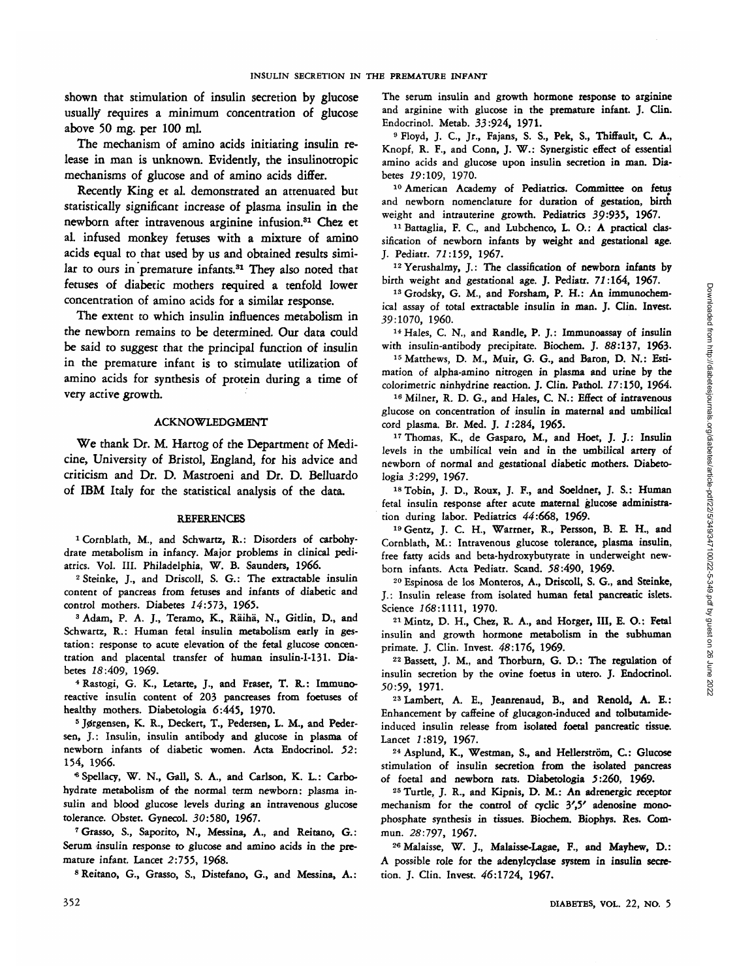shown that stimulation of insulin secretion by glucose usually requires a minimum concentration of glucose above 50 mg. per 100 ml.

The mechanism of amino acids initiating insulin release in man *is* unknown. Evidently, the insulinotropic mechanisms of glucose and of amino acids differ.

Recently King et al. demonstrated an attenuated but statistically significant increase of plasma insulin in the newborn after intravenous arginine infusion.<sup>31</sup> Chez et al. infused monkey fetuses with a mixture of amino acids equal to that used by us and obtained results similar to ours in premature infants.<sup>31</sup> They also noted that fetuses of diabetic mothers required a tenfold lower concentration of amino acids for a similar response.

The extent to which insulin influences metabolism in the newborn remains to be determined. Our data could be said to suggest that the principal function of insulin in the premature infant is to stimulate utilization of amino acids for synthesis of protein during a time of very active growth.

#### ACKNOWLEDGMENT

We thank Dr. M. Hartog of the Department of Medicine, University of Bristol, England, for his advice and criticism and Dr. D. Mastroeni and Dr. D. Belluardo of IBM Italy for the statistical analysis of the data.

#### REFERENCES

1 Cornblath, M., and Schwartz, R.: Disorders of carbohydrate metabolism in infancy. Major problems in clinical pediatrics. Vol. III. Philadelphia, W. B. Saunders, 1966.

2 Steinke, J., and Driscoll, S. G.: The extractable insulin content of pancreas from fetuses and infants of diabetic and control mothers. Diabetes 14:573, 1965.

control mothers. Diabetes 14:573, 1965.<br><sup>3</sup> Adam, P. A. J., Teramo, K., Räihä, N., Gitlin, D., and Schwartz, R.: Human fetal insulin metabolism early in gestation: response to acute elevation of the fetal glucose concentration and placental transfer of human insulin-I-131. Diabetes  $18:409$ . 1969.

betes *18:409,* 1969. <sup>4</sup> Rastogi, G. K., Letarte, J., and Fraser, T. R.: Immunoreactive insulin content of 203 pancreases from foetuses of healthy mothers. Diabetologia 6:445, 1970.

healthy mothers. Diabetologia 6:445, 1970.<br><sup>5</sup> Jørgensen, K. R., Deckert, T., Pedersen, L. M., and Pedersen, J.: Insulin, insulin antibody and glucose in plasma of newborn infants of diabetic women. Acta Endocrinol. *52:* 154, 1966.

«Spellacy, W. N., Gall, S. A., and Carlson, K. L.: Carbohydrate metabolism of the normal term newborn: plasma insulin and blood glucose levels during an intravenous glucose tolerance. Obstet. Gynecol. 30:580, 1967.

<sup>7</sup> Grasso, S., Saporito, N., Messina, A., and Reitano, G.: Serum insulin response to glucose and amino acids in the premature infant. Lancet 2:755, 1968.

8 Reitano, G., Grasso, S., Distefano, G., and Messina, A.:

The serum insulin and growth hormone response to arginine and arginine with glucose in the premature infant. J. Clin. Endocrinol. Metab. 33:924, 1971.

<sup>9</sup> Floyd, J. C., Jr., Fajans, S. S., Pek, S., Thiffault, C. A., Knopf, R. F., and Conn, J. W.: Synergistic effect of essential amino acids and glucose upon insulin secretion in man. Diabetes 19:109, 1970.

<sup>10</sup> American Academy of Pediatrics. Committee on fetus and newborn nomenclature for duration of gestation, birth weight and intrauterine growth. Pediatrics 39:935, 1967.

<sup>11</sup> Battaglia, F. C., and Lubchenco, L. O.: A practical classification of newborn infants by weight and gestational age. J. Pediatr. 71:159, 1967.

<sup>12</sup> Yerushalmy, J.: The classification of newborn infants by birth weight and gestational age. J. Pediatr. *71:164,* 1967.

<sup>13</sup> Grodsky, G. M., and Forsham, P. H.: An immunochemical assay of total extractable insulin in man. J. Gin. Invest. 39:1070, 1960.

14 Hales, C. N., and Randle, P. J.: Immunoassay of insulin with insulin-antibody precipitate. Biochem. J. 88:137, 1963.

<sup>15</sup> Matthews, D. M., Muir, G. G., and Baron, D. N.: Estimation of alpha-amino nitrogen in plasma and urine by the colorimetric ninhydrine reaction. J. Clin. Pathol. 17:150, 1964.

16 Milner, R. D. G., and Hales, C. N.: Effect of intravenous glucose on concentration of insulin in maternal and umbilical cord plasma. Br. Med. J. 1:284, 1965.

<sup>17</sup> Thomas, K., de Gasparo, M., and Hoet, J. J.: Insulin levels in the umbilical vein and in the umbilical artery of newborn of normal and gestational diabetic mothers. Diabetologia 3:299, 1967.

<sup>18</sup> Tobin, J. D., Roux, J. F., and Soeldner, J. S.: Human fetal insulin response after acute maternal glucose administration during labor. Pediatrics *44:668,* 1969-

<sup>19</sup> Gentz, J. C. H., Warrner, R., Persson, B. E. H., and Cornblath, M.: Intravenous glucose tolerance, plasma insulin, free fatty acids and beta-hydroxybutyrate in underweight newborn infants. Acta Pediatr. Scand. 58:490, 1969.

 Espinosa de los Monteros, A., Driscoll, S. G., and Steinke, J.: Insulin release from isolated human fetal pancreatic islets. Science 268:1111, 1970.

2 1Mintz, D. H., Chez, R. A., and Horger, III, E. O.: Fetal insulin and growth hormone metabolism in the subhuman primate. J. Clin. Invest. *48:176,* 1969.

22Bassett, J. M., and Thorburn, G. D.: The regulation of insulin secretion by the ovine foetus in utero. J. Endocrinol. 50:59, 1971.

 Lambert, A. E., Jeanrenaud, B., and Renold, A. E.: Enhancement by caffeine of glucagon-induced and tolbutamideinduced insulin release from isolated foetal pancreatic tissue. Lancet 1:819, 1967.

<sup>24</sup> Asplund, K., Westman, S., and Hellerström, C.: Glucose stimulation of insulin secretion from the isolated pancreas of foetal and newborn rats. Diabetologia 5:260, 1969.

 Turtle, J. R., and Kipnis, D. M.: An adrenergic receptor mechanism for the control of cyclic 3',5' adenosine monophosphate synthesis in tissues. Biochem. Biophys. Res. Commun. 28:797, 1967.

<sup>26</sup> Malaisse, W. J., Malaisse-Lagae, F., and Mayhew, D.: A possible role for the adenylcyclase system in insulin secretion. J. Clin. Invest. 46:1724, 1967.